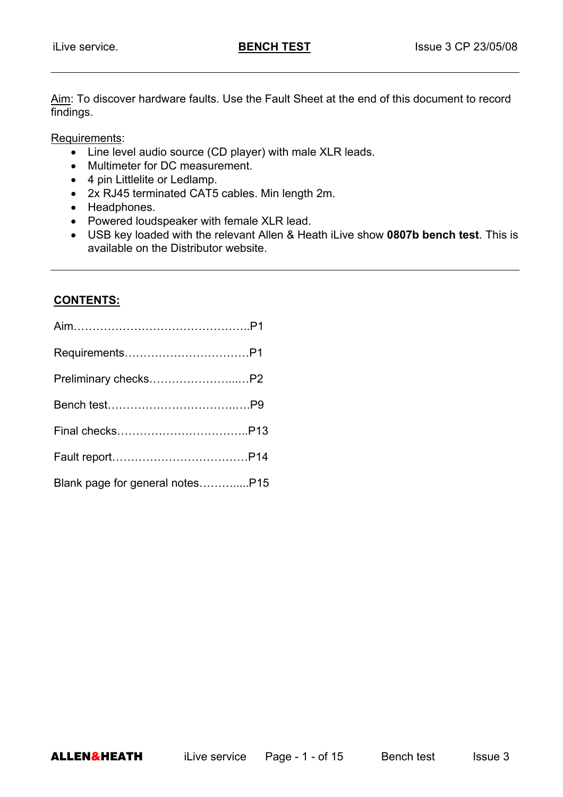Aim: To discover hardware faults. Use the Fault Sheet at the end of this document to record findings.

1

Requirements:

- Line level audio source (CD player) with male XLR leads.
- Multimeter for DC measurement.
- 4 pin Littlelite or Ledlamp.
- 2x RJ45 terminated CAT5 cables. Min length 2m.
- Headphones.
- Powered loudspeaker with female XLR lead.
- USB key loaded with the relevant Allen & Heath iLive show **0807b bench test**. This is available on the Distributor website.

#### **CONTENTS:**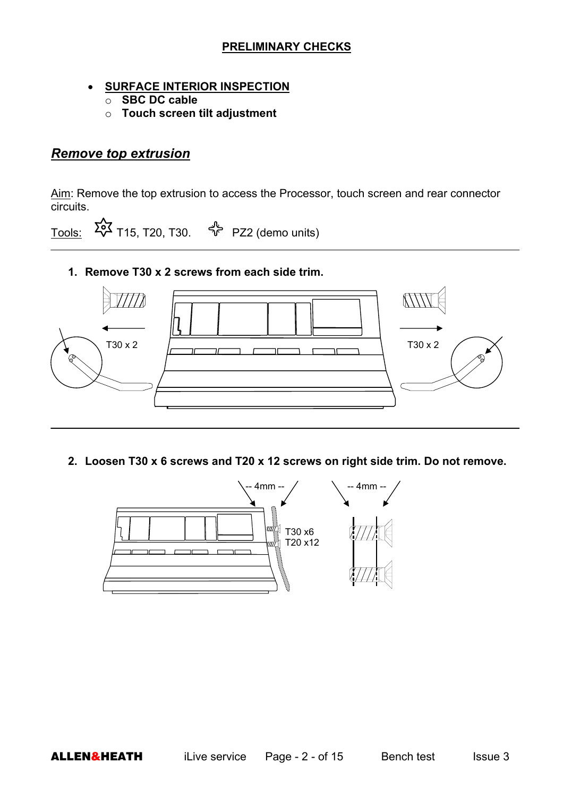#### **PRELIMINARY CHECKS**

#### • **SURFACE INTERIOR INSPECTION**

- o **SBC DC cable**
- o **Touch screen tilt adjustment**

## *Remove top extrusion*

Aim: Remove the top extrusion to access the Processor, touch screen and rear connector circuits.

Tools:  $\overrightarrow{20}$  T15, T20, T30.  $\overrightarrow{4}$  PZ2 (demo units)

**1. Remove T30 x 2 screws from each side trim.** 



**2. Loosen T30 x 6 screws and T20 x 12 screws on right side trim. Do not remove.** 

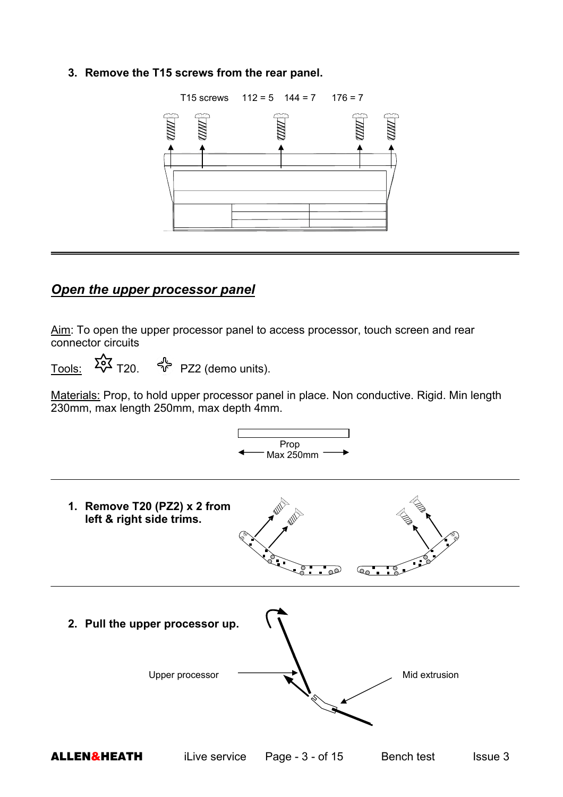#### **3. Remove the T15 screws from the rear panel.**



## *Open the upper processor panel*

Aim: To open the upper processor panel to access processor, touch screen and rear connector circuits

Tools:  $5\frac{1}{20}$  T20.  $\frac{1}{20}$  PZ2 (demo units).

Materials: Prop, to hold upper processor panel in place. Non conductive. Rigid. Min length 230mm, max length 250mm, max depth 4mm.

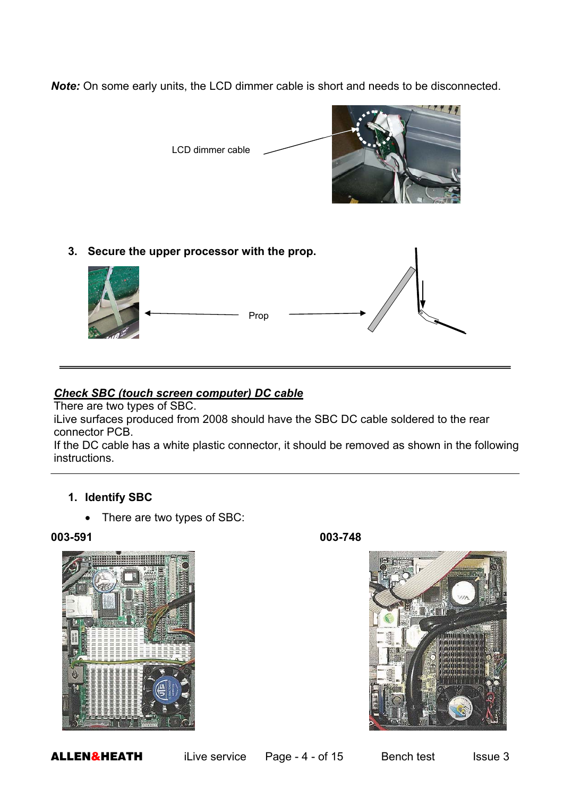*Note:* On some early units, the LCD dimmer cable is short and needs to be disconnected.



**3. Secure the upper processor with the prop.** 



#### *Check SBC (touch screen computer) DC cable*

There are two types of SBC.

iLive surfaces produced from 2008 should have the SBC DC cable soldered to the rear connector PCB.

If the DC cable has a white plastic connector, it should be removed as shown in the following instructions.

#### **1. Identify SBC**

• There are two types of SBC:

#### **003-591 003-748**

L





**ALLEN&HEATH** iLive service Page - 4 - of 15 Bench test Issue 3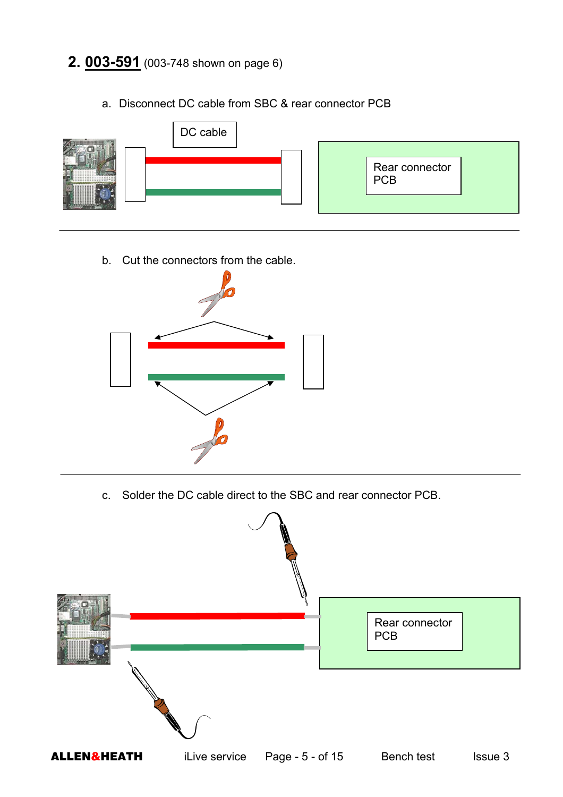# **2. 003-591** (003-748 shown on page 6)



a. Disconnect DC cable from SBC & rear connector PCB

b. Cut the connectors from the cable.



c. Solder the DC cable direct to the SBC and rear connector PCB.

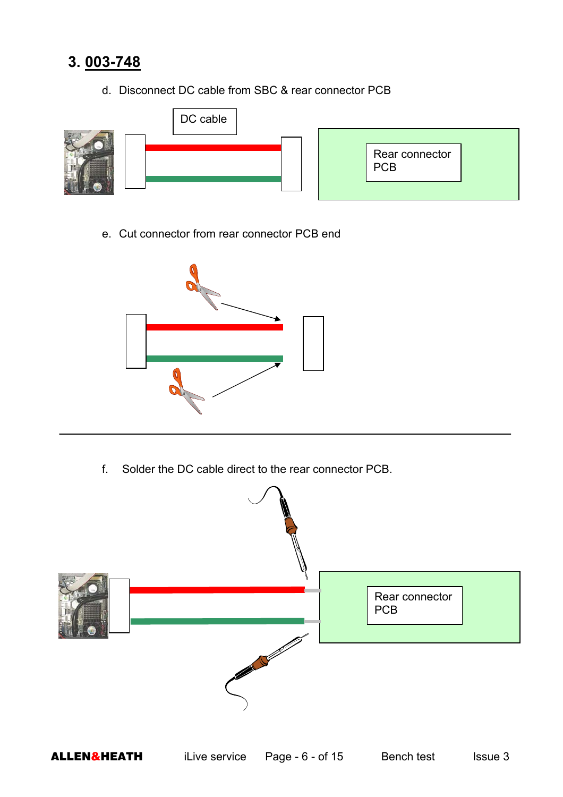# **3. 003-748**

d. Disconnect DC cable from SBC & rear connector PCB



e. Cut connector from rear connector PCB end



f. Solder the DC cable direct to the rear connector PCB.

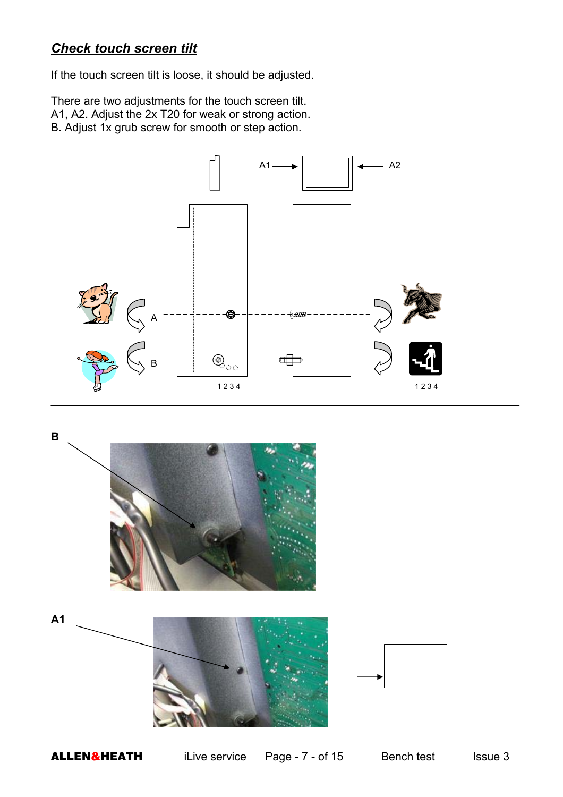# *Check touch screen tilt*

If the touch screen tilt is loose, it should be adjusted.

There are two adjustments for the touch screen tilt. A1, A2. Adjust the 2x T20 for weak or strong action. B. Adjust 1x grub screw for smooth or step action.







**ALLEN&HEATH** iLive service Page - 7 - of 15 Bench test Issue 3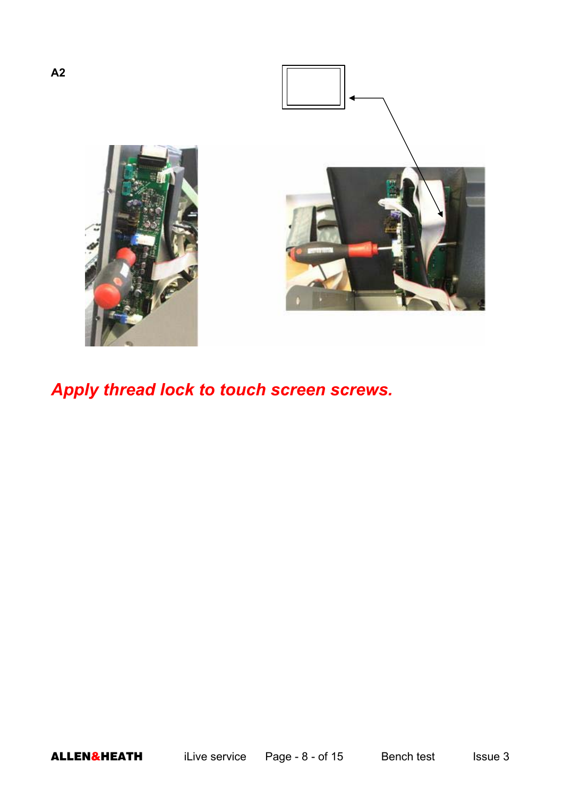

# *Apply thread lock to touch screen screws.*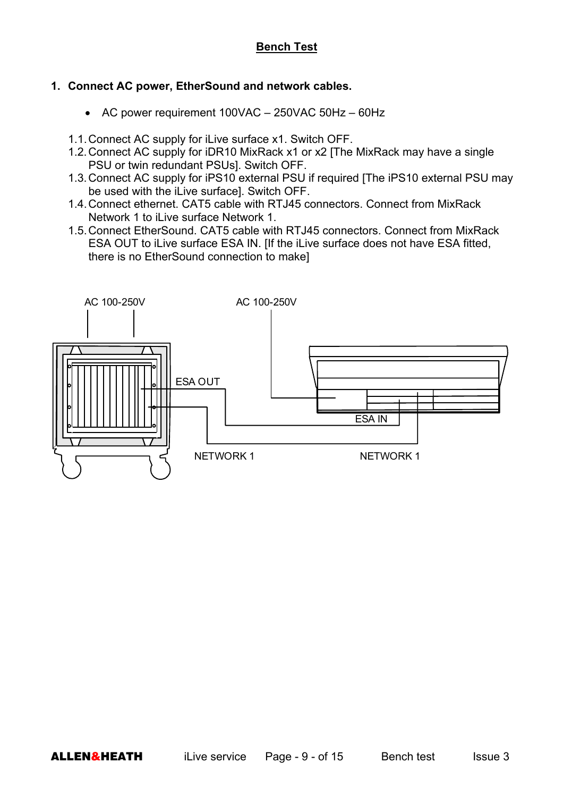#### **Bench Test**

#### **1. Connect AC power, EtherSound and network cables.**

- AC power requirement 100VAC 250VAC 50Hz 60Hz
- 1.1. Connect AC supply for iLive surface x1. Switch OFF.
- 1.2. Connect AC supply for iDR10 MixRack x1 or x2 [The MixRack may have a single PSU or twin redundant PSUs]. Switch OFF.
- 1.3. Connect AC supply for iPS10 external PSU if required [The iPS10 external PSU may be used with the iLive surface]. Switch OFF.
- 1.4. Connect ethernet. CAT5 cable with RTJ45 connectors. Connect from MixRack Network 1 to iLive surface Network 1.
- 1.5. Connect EtherSound. CAT5 cable with RTJ45 connectors. Connect from MixRack ESA OUT to iLive surface ESA IN. [If the iLive surface does not have ESA fitted, there is no EtherSound connection to make]

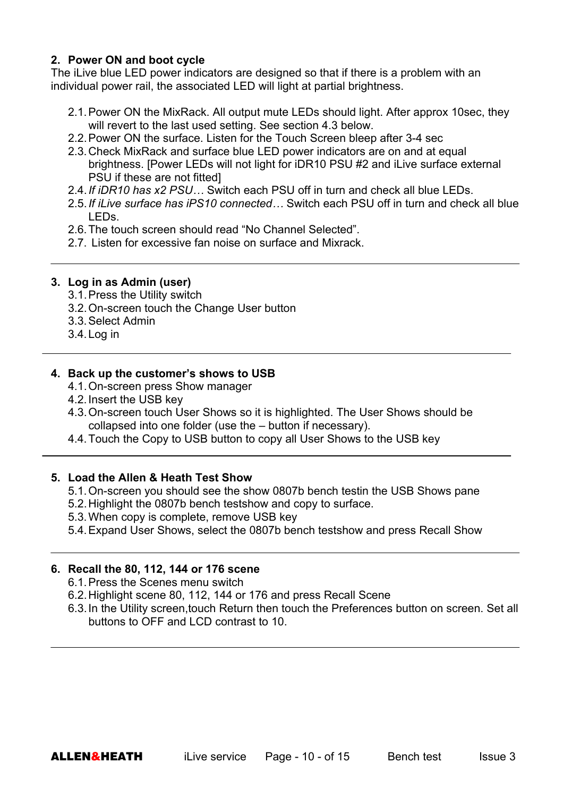#### **2. Power ON and boot cycle**

The iLive blue LED power indicators are designed so that if there is a problem with an individual power rail, the associated LED will light at partial brightness.

- 2.1. Power ON the MixRack. All output mute LEDs should light. After approx 10sec, they will revert to the last used setting. See section 4.3 below.
- 2.2. Power ON the surface. Listen for the Touch Screen bleep after 3-4 sec
- 2.3. Check MixRack and surface blue LED power indicators are on and at equal brightness. [Power LEDs will not light for iDR10 PSU #2 and iLive surface external PSU if these are not fitted]
- 2.4. *If iDR10 has x2 PSU…* Switch each PSU off in turn and check all blue LEDs.
- 2.5. *If iLive surface has iPS10 connected…* Switch each PSU off in turn and check all blue LEDs.
- 2.6. The touch screen should read "No Channel Selected".
- 2.7. Listen for excessive fan noise on surface and Mixrack.

#### **3. Log in as Admin (user)**

- 3.1. Press the Utility switch
- 3.2. On-screen touch the Change User button
- 3.3. Select Admin
- 3.4. Log in

#### **4. Back up the customer's shows to USB**

- 4.1. On-screen press Show manager
- 4.2. Insert the USB key
- 4.3. On-screen touch User Shows so it is highlighted. The User Shows should be collapsed into one folder (use the – button if necessary).
- 4.4. Touch the Copy to USB button to copy all User Shows to the USB key

#### **5. Load the Allen & Heath Test Show**

- 5.1. On-screen you should see the show 0807b bench testin the USB Shows pane
- 5.2. Highlight the 0807b bench testshow and copy to surface.
- 5.3. When copy is complete, remove USB key
- 5.4. Expand User Shows, select the 0807b bench testshow and press Recall Show

#### **6. Recall the 80, 112, 144 or 176 scene**

- 6.1. Press the Scenes menu switch
- 6.2. Highlight scene 80, 112, 144 or 176 and press Recall Scene
- 6.3. In the Utility screen,touch Return then touch the Preferences button on screen. Set all buttons to OFF and LCD contrast to 10.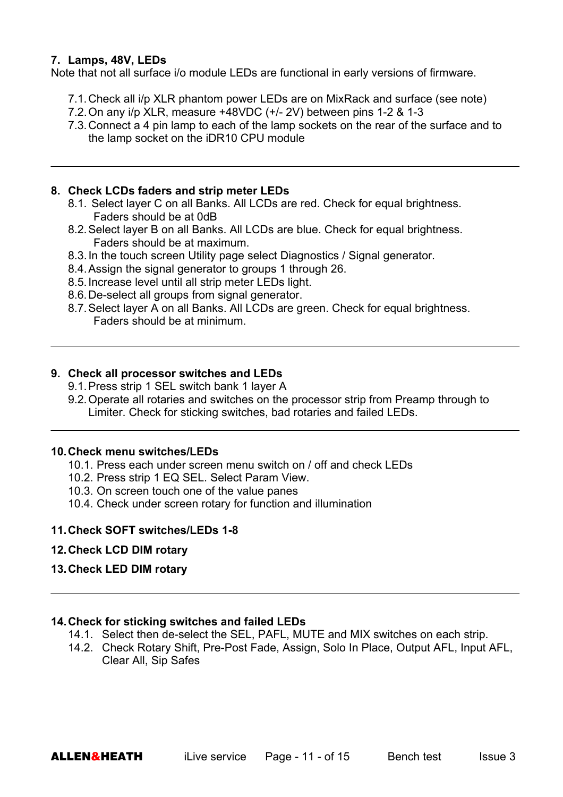#### **7. Lamps, 48V, LEDs**

Note that not all surface i/o module LEDs are functional in early versions of firmware.

- 7.1. Check all i/p XLR phantom power LEDs are on MixRack and surface (see note)
- 7.2. On any i/p XLR, measure +48VDC (+/- 2V) between pins 1-2 & 1-3
- 7.3. Connect a 4 pin lamp to each of the lamp sockets on the rear of the surface and to the lamp socket on the iDR10 CPU module

#### **8. Check LCDs faders and strip meter LEDs**

- 8.1. Select layer C on all Banks. All LCDs are red. Check for equal brightness. Faders should be at 0dB
- 8.2. Select layer B on all Banks. All LCDs are blue. Check for equal brightness. Faders should be at maximum.
- 8.3. In the touch screen Utility page select Diagnostics / Signal generator.
- 8.4. Assign the signal generator to groups 1 through 26.
- 8.5. Increase level until all strip meter LEDs light.
- 8.6. De-select all groups from signal generator.
- 8.7. Select layer A on all Banks. All LCDs are green. Check for equal brightness. Faders should be at minimum.

#### **9. Check all processor switches and LEDs**

- 9.1. Press strip 1 SEL switch bank 1 layer A
- 9.2. Operate all rotaries and switches on the processor strip from Preamp through to Limiter. Check for sticking switches, bad rotaries and failed LEDs.

#### **10. Check menu switches/LEDs**

- 10.1.Press each under screen menu switch on / off and check LEDs
- 10.2.Press strip 1 EQ SEL. Select Param View.
- 10.3.On screen touch one of the value panes
- 10.4.Check under screen rotary for function and illumination

#### **11. Check SOFT switches/LEDs 1-8**

- **12. Check LCD DIM rotary**
- **13. Check LED DIM rotary**

#### **14. Check for sticking switches and failed LEDs**

- 14.1. Select then de-select the SEL, PAFL, MUTE and MIX switches on each strip.
- 14.2. Check Rotary Shift, Pre-Post Fade, Assign, Solo In Place, Output AFL, Input AFL, Clear All, Sip Safes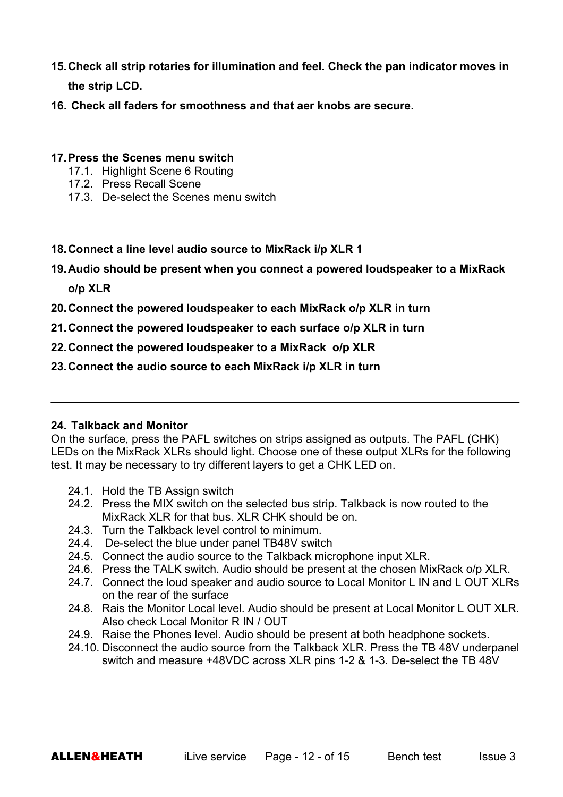- **15. Check all strip rotaries for illumination and feel. Check the pan indicator moves in the strip LCD.**
- **16. Check all faders for smoothness and that aer knobs are secure.**

#### **17. Press the Scenes menu switch**

- 17.1. Highlight Scene 6 Routing
- 17.2. Press Recall Scene
- 17.3. De-select the Scenes menu switch
- **18. Connect a line level audio source to MixRack i/p XLR 1**
- **19. Audio should be present when you connect a powered loudspeaker to a MixRack o/p XLR**
- **20. Connect the powered loudspeaker to each MixRack o/p XLR in turn**
- **21. Connect the powered loudspeaker to each surface o/p XLR in turn**
- **22. Connect the powered loudspeaker to a MixRack o/p XLR**
- **23. Connect the audio source to each MixRack i/p XLR in turn**

#### **24. Talkback and Monitor**

On the surface, press the PAFL switches on strips assigned as outputs. The PAFL (CHK) LEDs on the MixRack XLRs should light. Choose one of these output XLRs for the following test. It may be necessary to try different layers to get a CHK LED on.

- 24.1. Hold the TB Assign switch
- 24.2. Press the MIX switch on the selected bus strip. Talkback is now routed to the MixRack XLR for that bus. XLR CHK should be on.
- 24.3. Turn the Talkback level control to minimum.
- 24.4. De-select the blue under panel TB48V switch
- 24.5. Connect the audio source to the Talkback microphone input XLR.
- 24.6. Press the TALK switch. Audio should be present at the chosen MixRack o/p XLR.
- 24.7. Connect the loud speaker and audio source to Local Monitor L IN and L OUT XLRs on the rear of the surface
- 24.8. Rais the Monitor Local level. Audio should be present at Local Monitor L OUT XLR. Also check Local Monitor R IN / OUT
- 24.9. Raise the Phones level. Audio should be present at both headphone sockets.
- 24.10. Disconnect the audio source from the Talkback XLR. Press the TB 48V underpanel switch and measure +48VDC across XLR pins 1-2 & 1-3. De-select the TB 48V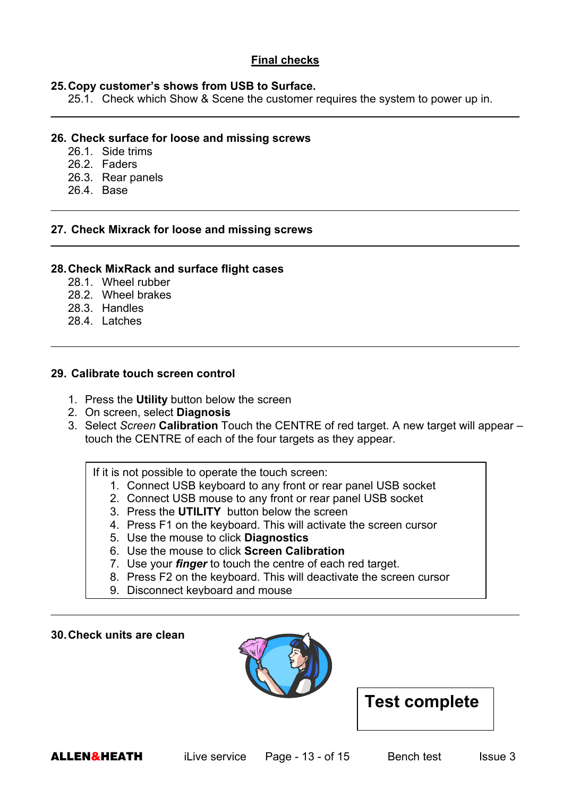#### **Final checks**

#### **25. Copy customer's shows from USB to Surface.**

25.1. Check which Show & Scene the customer requires the system to power up in.

#### **26. Check surface for loose and missing screws**

- 26.1. Side trims
- 26.2. Faders
- 26.3. Rear panels
- 26.4. Base

#### **27. Check Mixrack for loose and missing screws**

#### **28. Check MixRack and surface flight cases**

- 28.1. Wheel rubber
- 28.2. Wheel brakes
- 28.3. Handles
- 28.4. Latches

### **29. Calibrate touch screen control**

- 1. Press the **Utility** button below the screen
- 2. On screen, select **Diagnosis**
- 3. Select *Screen* **Calibration** Touch the CENTRE of red target. A new target will appear touch the CENTRE of each of the four targets as they appear.

If it is not possible to operate the touch screen:

- 1. Connect USB keyboard to any front or rear panel USB socket
- 2. Connect USB mouse to any front or rear panel USB socket
- 3. Press the **UTILITY** button below the screen
- 4. Press F1 on the keyboard. This will activate the screen cursor
- 5. Use the mouse to click **Diagnostics**
- 6. Use the mouse to click **Screen Calibration**
- 7. Use your *finger* to touch the centre of each red target.
- 8. Press F2 on the keyboard. This will deactivate the screen cursor
- 9. Disconnect keyboard and mouse

#### **30. Check units are clean**



# **Test complete**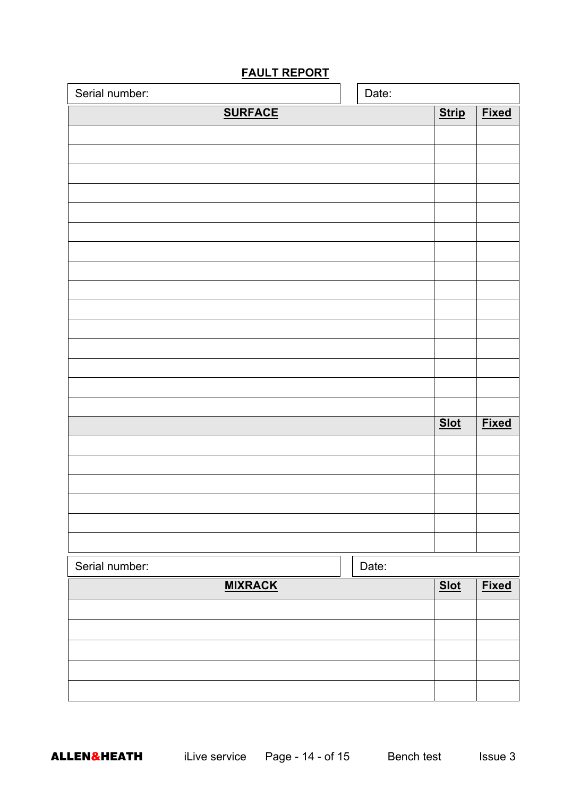| Serial number: |  | Date:        |              |              |
|----------------|--|--------------|--------------|--------------|
| <b>SURFACE</b> |  | <b>Strip</b> | <b>Fixed</b> |              |
|                |  |              |              |              |
|                |  |              |              |              |
|                |  |              |              |              |
|                |  |              |              |              |
|                |  |              |              |              |
|                |  |              |              |              |
|                |  |              |              |              |
|                |  |              |              |              |
|                |  |              |              |              |
|                |  |              |              |              |
|                |  |              |              |              |
|                |  |              |              |              |
|                |  |              |              |              |
|                |  |              |              |              |
|                |  |              | <b>Slot</b>  | <b>Fixed</b> |
|                |  |              |              |              |
|                |  |              |              |              |
|                |  |              |              |              |
|                |  |              |              |              |
|                |  |              |              |              |
|                |  |              |              |              |
| Serial number: |  | Date:        |              |              |
| <b>MIXRACK</b> |  |              | Slot         | <b>Fixed</b> |
|                |  |              |              |              |
|                |  |              |              |              |
|                |  |              |              |              |
|                |  |              |              |              |
|                |  |              |              |              |
|                |  |              |              |              |

# **FAULT REPORT**